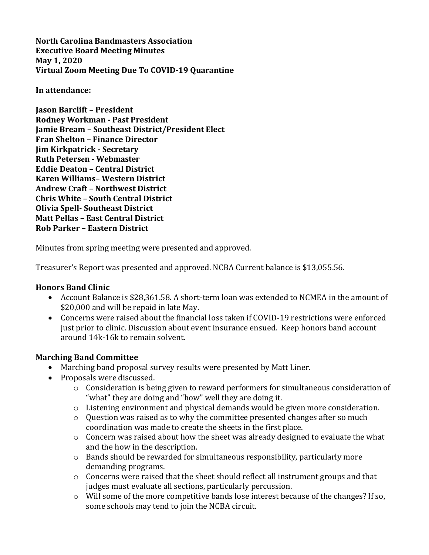**North Carolina Bandmasters Association Executive Board Meeting Minutes May 1, 2020 Virtual Zoom Meeting Due To COVID-19 Quarantine** 

#### In attendance:

**Jason Barclift - President Rodney Workman - Past President Jamie Bream – Southeast District/President Elect Fran Shelton - Finance Director Jim Kirkpatrick - Secretary Ruth Petersen - Webmaster Eddie Deaton - Central District Karen Williams- Western District Andrew Craft - Northwest District Chris White – South Central District Olivia Spell- Southeast District Matt Pellas - East Central District Rob Parker - Eastern District** 

Minutes from spring meeting were presented and approved.

Treasurer's Report was presented and approved. NCBA Current balance is \$13,055.56.

### **Honors Band Clinic**

- Account Balance is \$28,361.58. A short-term loan was extended to NCMEA in the amount of \$20,000 and will be repaid in late May.
- Concerns were raised about the financial loss taken if COVID-19 restrictions were enforced just prior to clinic. Discussion about event insurance ensued. Keep honors band account around 14k-16k to remain solvent.

### **Marching Band Committee**

- Marching band proposal survey results were presented by Matt Liner.
- Proposals were discussed.
	- $\circ$  Consideration is being given to reward performers for simultaneous consideration of "what" they are doing and "how" well they are doing it.
	- $\circ$  Listening environment and physical demands would be given more consideration.
	- $\circ$  Ouestion was raised as to why the committee presented changes after so much coordination was made to create the sheets in the first place.
	- $\circ$  Concern was raised about how the sheet was already designed to evaluate the what and the how in the description.
	- $\circ$  Bands should be rewarded for simultaneous responsibility, particularly more demanding programs.
	- $\circ$  Concerns were raised that the sheet should reflect all instrument groups and that judges must evaluate all sections, particularly percussion.
	- $\circ$  Will some of the more competitive bands lose interest because of the changes? If so, some schools may tend to join the NCBA circuit.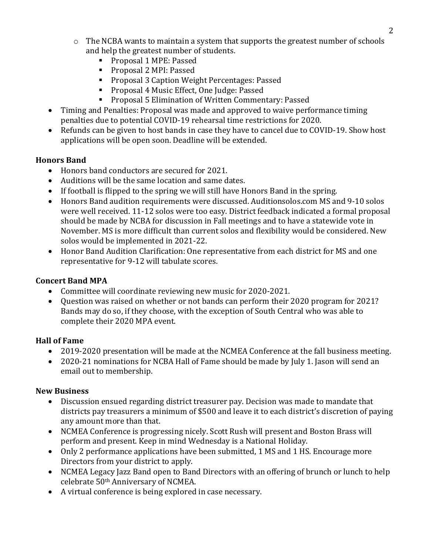- $\circ$  The NCBA wants to maintain a system that supports the greatest number of schools and help the greatest number of students.
	- Proposal 1 MPE: Passed
	- Proposal 2 MPI: Passed
	- Proposal 3 Caption Weight Percentages: Passed
	- Proposal 4 Music Effect, One Judge: Passed
	- Proposal 5 Elimination of Written Commentary: Passed
- Timing and Penalties: Proposal was made and approved to waive performance timing penalties due to potential COVID-19 rehearsal time restrictions for 2020.
- Refunds can be given to host bands in case they have to cancel due to COVID-19. Show host applications will be open soon. Deadline will be extended.

## **Honors Band**

- Honors band conductors are secured for 2021.
- Auditions will be the same location and same dates.
- If football is flipped to the spring we will still have Honors Band in the spring.
- Honors Band audition requirements were discussed. Auditionsolos.com MS and 9-10 solos were well received. 11-12 solos were too easy. District feedback indicated a formal proposal should be made by NCBA for discussion in Fall meetings and to have a statewide vote in November. MS is more difficult than current solos and flexibility would be considered. New solos would be implemented in 2021-22.
- Honor Band Audition Clarification: One representative from each district for MS and one representative for 9-12 will tabulate scores.

## **Concert Band MPA**

- Committee will coordinate reviewing new music for 2020-2021.
- Question was raised on whether or not bands can perform their 2020 program for 2021? Bands may do so, if they choose, with the exception of South Central who was able to complete their 2020 MPA event.

# **Hall of Fame**

- 2019-2020 presentation will be made at the NCMEA Conference at the fall business meeting.
- 2020-21 nominations for NCBA Hall of Fame should be made by July 1. Jason will send an email out to membership.

## **New Business**

- Discussion ensued regarding district treasurer pay. Decision was made to mandate that districts pay treasurers a minimum of \$500 and leave it to each district's discretion of paying any amount more than that.
- NCMEA Conference is progressing nicely. Scott Rush will present and Boston Brass will perform and present. Keep in mind Wednesday is a National Holiday.
- Only 2 performance applications have been submitted, 1 MS and 1 HS. Encourage more Directors from your district to apply.
- NCMEA Legacy Jazz Band open to Band Directors with an offering of brunch or lunch to help celebrate 50<sup>th</sup> Anniversary of NCMEA.
- A virtual conference is being explored in case necessary.